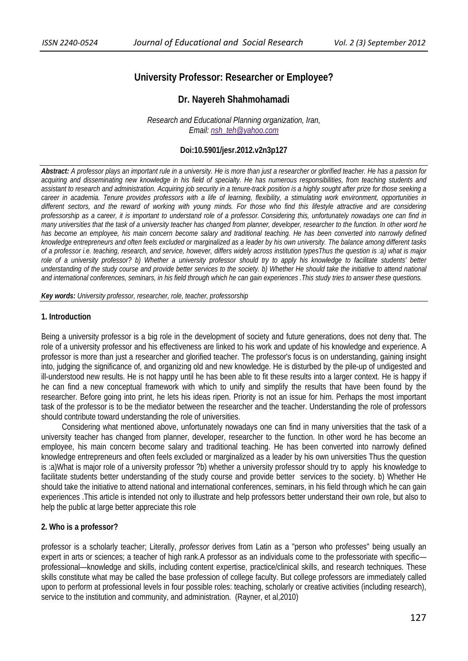# **University Professor: Researcher or Employee?**

## **Dr. Nayereh Shahmohamadi**

*Research and Educational Planning organization, Iran, Email: nsh\_teh@yahoo.com*

### **Doi:10.5901/jesr.2012.v2n3p127**

*Abstract: A professor plays an important rule in a university. He is more than just a researcher or glorified teacher. He has a passion for acquiring and disseminating new knowledge in his field of specialty. He has numerous responsibilities, from teaching students and assistant to research and administration. Acquiring job security in a tenure-track position is a highly sought after prize for those seeking a career in academia. Tenure provides professors with a life of learning, flexibility, a stimulating work environment, opportunities in different sectors, and the reward of working with young minds. For those who find this lifestyle attractive and are considering professorship as a career, it is important to understand role of a professor. Considering this, unfortunately nowadays one can find in many universities that the task of a university teacher has changed from planner, developer, researcher to the function. In other word he*  has become an employee, his main concern become salary and traditional teaching. He has been converted into narrowly defined *knowledge entrepreneurs and often feels excluded or marginalized as a leader by his own university. The balance among different tasks of a professor i.e. teaching, research, and service, however, differs widely across institution typesThus the question is :a) what is major role of a university professor? b) Whether a university professor should try to apply his knowledge to facilitate students' better understanding of the study course and provide better services to the society. b) Whether He should take the initiative to attend national and international conferences, seminars, in his field through which he can gain experiences .This study tries to answer these questions.* 

*Key words: University professor, researcher, role, teacher, professorship*

#### **1. Introduction**

Being a university professor is a big role in the development of society and future generations, does not deny that. The role of a university professor and his effectiveness are linked to his work and update of his knowledge and experience. A professor is more than just a researcher and glorified teacher. The professor's focus is on understanding, gaining insight into, judging the significance of, and organizing old and new knowledge. He is disturbed by the pile-up of undigested and ill-understood new results. He is not happy until he has been able to fit these results into a larger context. He is happy if he can find a new conceptual framework with which to unify and simplify the results that have been found by the researcher. Before going into print, he lets his ideas ripen. Priority is not an issue for him. Perhaps the most important task of the professor is to be the mediator between the researcher and the teacher. Understanding the role of professors should contribute toward understanding the role of universities.

Considering what mentioned above, unfortunately nowadays one can find in many universities that the task of a university teacher has changed from planner, developer, researcher to the function. In other word he has become an employee, his main concern become salary and traditional teaching. He has been converted into narrowly defined knowledge entrepreneurs and often feels excluded or marginalized as a leader by his own universities Thus the question is :a)What is major role of a university professor ?b) whether a university professor should try to apply his knowledge to facilitate students better understanding of the study course and provide better services to the society. b) Whether He should take the initiative to attend national and international conferences, seminars, in his field through which he can gain experiences .This article is intended not only to illustrate and help professors better understand their own role, but also to help the public at large better appreciate this role

#### **2. Who is a professor?**

professor is a scholarly teacher; Literally, *professor* derives from Latin as a "person who professes" being usually an expert in arts or sciences; a teacher of high rank.A professor as an individuals come to the professoriate with specific professional—knowledge and skills, including content expertise, practice/clinical skills, and research techniques. These skills constitute what may be called the base profession of college faculty. But college professors are immediately called upon to perform at professional levels in four possible roles: teaching, scholarly or creative activities (including research), service to the institution and community, and administration. (Rayner, et al,2010)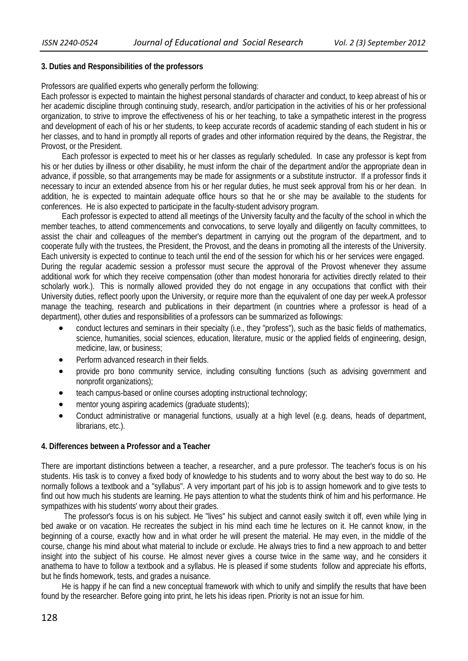### **3. Duties and Responsibilities of the professors**

Professors are qualified experts who generally perform the following:

Each professor is expected to maintain the highest personal standards of character and conduct, to keep abreast of his or her academic discipline through continuing study, research, and/or participation in the activities of his or her professional organization, to strive to improve the effectiveness of his or her teaching, to take a sympathetic interest in the progress and development of each of his or her students, to keep accurate records of academic standing of each student in his or her classes, and to hand in promptly all reports of grades and other information required by the deans, the Registrar, the Provost, or the President.

Each professor is expected to meet his or her classes as regularly scheduled. In case any professor is kept from his or her duties by illness or other disability, he must inform the chair of the department and/or the appropriate dean in advance, if possible, so that arrangements may be made for assignments or a substitute instructor. If a professor finds it necessary to incur an extended absence from his or her regular duties, he must seek approval from his or her dean. In addition, he is expected to maintain adequate office hours so that he or she may be available to the students for conferences. He is also expected to participate in the faculty-student advisory program.

Each professor is expected to attend all meetings of the University faculty and the faculty of the school in which the member teaches, to attend commencements and convocations, to serve loyally and diligently on faculty committees, to assist the chair and colleagues of the member's department in carrying out the program of the department, and to cooperate fully with the trustees, the President, the Provost, and the deans in promoting all the interests of the University. Each university is expected to continue to teach until the end of the session for which his or her services were engaged. During the regular academic session a professor must secure the approval of the Provost whenever they assume additional work for which they receive compensation (other than modest honoraria for activities directly related to their scholarly work.). This is normally allowed provided they do not engage in any occupations that conflict with their University duties, reflect poorly upon the University, or require more than the equivalent of one day per week.A professor manage the teaching, research and publications in their department (in countries where a professor is head of a department), other duties and responsibilities of a professors can be summarized as followings:

- conduct lectures and seminars in their specialty (i.e., they "profess"), such as the basic fields of mathematics, science, humanities, social sciences, education, literature, music or the applied fields of engineering, design, medicine, law, or business;
- Perform advanced research in their fields.
- provide pro bono community service, including consulting functions (such as advising government and nonprofit organizations);
- teach campus-based or online courses adopting instructional technology;
- mentor young aspiring academics (graduate students);
- Conduct administrative or managerial functions, usually at a high level (e.g. deans, heads of department, librarians, etc.).

### **4. Differences between a Professor and a Teacher**

There are important distinctions between a teacher, a researcher, and a pure professor. The teacher's focus is on his students. His task is to convey a fixed body of knowledge to his students and to worry about the best way to do so. He normally follows a textbook and a "syllabus". A very important part of his job is to assign homework and to give tests to find out how much his students are learning. He pays attention to what the students think of him and his performance. He sympathizes with his students' worry about their grades.

 The professor's focus is on his subject. He "lives" his subject and cannot easily switch it off, even while lying in bed awake or on vacation. He recreates the subject in his mind each time he lectures on it. He cannot know, in the beginning of a course, exactly how and in what order he will present the material. He may even, in the middle of the course, change his mind about what material to include or exclude. He always tries to find a new approach to and better insight into the subject of his course. He almost never gives a course twice in the same way, and he considers it anathema to have to follow a textbook and a syllabus. He is pleased if some students follow and appreciate his efforts, but he finds homework, tests, and grades a nuisance.

He is happy if he can find a new conceptual framework with which to unify and simplify the results that have been found by the researcher. Before going into print, he lets his ideas ripen. Priority is not an issue for him.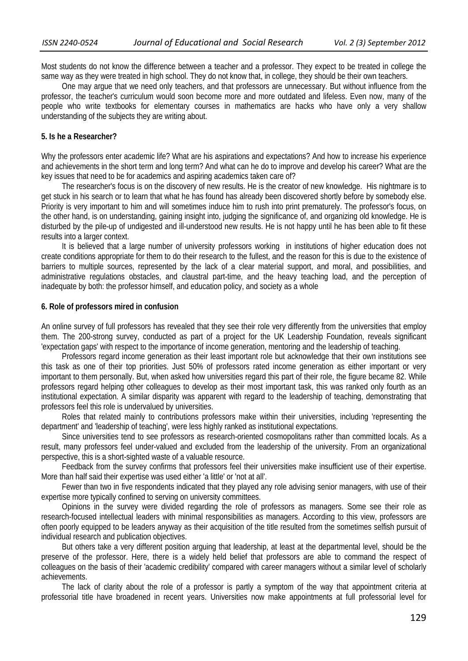Most students do not know the difference between a teacher and a professor. They expect to be treated in college the same way as they were treated in high school. They do not know that, in college, they should be their own teachers.

One may argue that we need only teachers, and that professors are unnecessary. But without influence from the professor, the teacher's curriculum would soon become more and more outdated and lifeless. Even now, many of the people who write textbooks for elementary courses in mathematics are hacks who have only a very shallow understanding of the subjects they are writing about.

#### **5. Is he a Researcher?**

Why the professors enter academic life? What are his aspirations and expectations? And how to increase his experience and achievements in the short term and long term? And what can he do to improve and develop his career? What are the key issues that need to be for academics and aspiring academics taken care of?

The researcher's focus is on the discovery of new results. He is the creator of new knowledge. His nightmare is to get stuck in his search or to learn that what he has found has already been discovered shortly before by somebody else. Priority is very important to him and will sometimes induce him to rush into print prematurely. The professor's focus, on the other hand, is on understanding, gaining insight into, judging the significance of, and organizing old knowledge. He is disturbed by the pile-up of undigested and ill-understood new results. He is not happy until he has been able to fit these results into a larger context.

It is believed that a large number of university professors working in institutions of higher education does not create conditions appropriate for them to do their research to the fullest, and the reason for this is due to the existence of barriers to multiple sources, represented by the lack of a clear material support, and moral, and possibilities, and administrative regulations obstacles, and claustral part-time, and the heavy teaching load, and the perception of inadequate by both: the professor himself, and education policy, and society as a whole

#### **6. Role of professors mired in confusion**

An online survey of full professors has revealed that they see their role very differently from the universities that employ them. The 200-strong survey, conducted as part of a project for the UK Leadership Foundation, reveals significant 'expectation gaps' with respect to the importance of income generation, mentoring and the leadership of teaching.

Professors regard income generation as their least important role but acknowledge that their own institutions see this task as one of their top priorities. Just 50% of professors rated income generation as either important or very important to them personally. But, when asked how universities regard this part of their role, the figure became 82. While professors regard helping other colleagues to develop as their most important task, this was ranked only fourth as an institutional expectation. A similar disparity was apparent with regard to the leadership of teaching, demonstrating that professors feel this role is undervalued by universities.

Roles that related mainly to contributions professors make within their universities, including 'representing the department' and 'leadership of teaching', were less highly ranked as institutional expectations.

Since universities tend to see professors as research-oriented cosmopolitans rather than committed locals. As a result, many professors feel under-valued and excluded from the leadership of the university. From an organizational perspective, this is a short-sighted waste of a valuable resource.

Feedback from the survey confirms that professors feel their universities make insufficient use of their expertise. More than half said their expertise was used either 'a little' or 'not at all'.

Fewer than two in five respondents indicated that they played any role advising senior managers, with use of their expertise more typically confined to serving on university committees.

Opinions in the survey were divided regarding the role of professors as managers. Some see their role as research-focused intellectual leaders with minimal responsibilities as managers. According to this view, professors are often poorly equipped to be leaders anyway as their acquisition of the title resulted from the sometimes selfish pursuit of individual research and publication objectives.

But others take a very different position arguing that leadership, at least at the departmental level, should be the preserve of the professor. Here, there is a widely held belief that professors are able to command the respect of colleagues on the basis of their 'academic credibility' compared with career managers without a similar level of scholarly achievements.

The lack of clarity about the role of a professor is partly a symptom of the way that appointment criteria at professorial title have broadened in recent years. Universities now make appointments at full professorial level for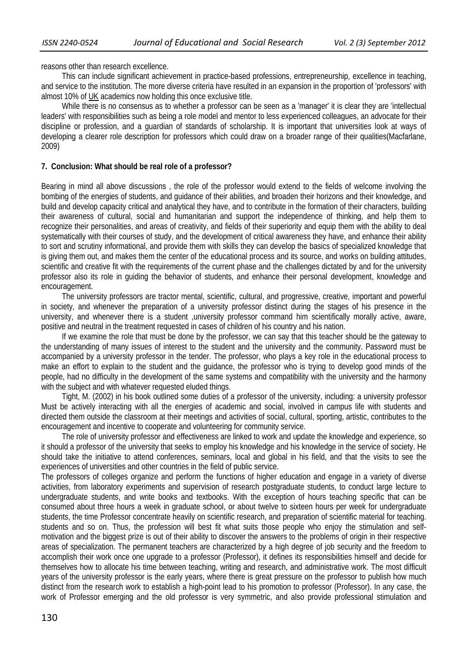reasons other than research excellence.

This can include significant achievement in practice-based professions, entrepreneurship, excellence in teaching, and service to the institution. The more diverse criteria have resulted in an expansion in the proportion of 'professors' with almost 10% of UK academics now holding this once exclusive title.

While there is no consensus as to whether a professor can be seen as a 'manager' it is clear they are 'intellectual leaders' with responsibilities such as being a role model and mentor to less experienced colleagues, an advocate for their discipline or profession, and a guardian of standards of scholarship. It is important that universities look at ways of developing a clearer role description for professors which could draw on a broader range of their qualities(Macfarlane, 2009)

### **7. Conclusion: What should be real role of a professor?**

Bearing in mind all above discussions , the role of the professor would extend to the fields of welcome involving the bombing of the energies of students, and guidance of their abilities, and broaden their horizons and their knowledge, and build and develop capacity critical and analytical they have, and to contribute in the formation of their characters, building their awareness of cultural, social and humanitarian and support the independence of thinking, and help them to recognize their personalities, and areas of creativity, and fields of their superiority and equip them with the ability to deal systematically with their courses of study, and the development of critical awareness they have, and enhance their ability to sort and scrutiny informational, and provide them with skills they can develop the basics of specialized knowledge that is giving them out, and makes them the center of the educational process and its source, and works on building attitudes, scientific and creative fit with the requirements of the current phase and the challenges dictated by and for the university professor also its role in guiding the behavior of students, and enhance their personal development, knowledge and encouragement.

The university professors are tractor mental, scientific, cultural, and progressive, creative, important and powerful in society, and whenever the preparation of a university professor distinct during the stages of his presence in the university, and whenever there is a student ,university professor command him scientifically morally active, aware, positive and neutral in the treatment requested in cases of children of his country and his nation.

If we examine the role that must be done by the professor, we can say that this teacher should be the gateway to the understanding of many issues of interest to the student and the university and the community. Password must be accompanied by a university professor in the tender. The professor, who plays a key role in the educational process to make an effort to explain to the student and the guidance, the professor who is trying to develop good minds of the people, had no difficulty in the development of the same systems and compatibility with the university and the harmony with the subject and with whatever requested eluded things.

Tight, M. (2002) in his book outlined some duties of a professor of the university, including: a university professor Must be actively interacting with all the energies of academic and social, involved in campus life with students and directed them outside the classroom at their meetings and activities of social, cultural, sporting, artistic, contributes to the encouragement and incentive to cooperate and volunteering for community service.

The role of university professor and effectiveness are linked to work and update the knowledge and experience, so it should a professor of the university that seeks to employ his knowledge and his knowledge in the service of society. He should take the initiative to attend conferences, seminars, local and global in his field, and that the visits to see the experiences of universities and other countries in the field of public service.

The professors of colleges organize and perform the functions of higher education and engage in a variety of diverse activities, from laboratory experiments and supervision of research postgraduate students, to conduct large lecture to undergraduate students, and write books and textbooks. With the exception of hours teaching specific that can be consumed about three hours a week in graduate school, or about twelve to sixteen hours per week for undergraduate students, the time Professor concentrate heavily on scientific research, and preparation of scientific material for teaching. students and so on. Thus, the profession will best fit what suits those people who enjoy the stimulation and selfmotivation and the biggest prize is out of their ability to discover the answers to the problems of origin in their respective areas of specialization. The permanent teachers are characterized by a high degree of job security and the freedom to accomplish their work once one upgrade to a professor (Professor), it defines its responsibilities himself and decide for themselves how to allocate his time between teaching, writing and research, and administrative work. The most difficult years of the university professor is the early years, where there is great pressure on the professor to publish how much distinct from the research work to establish a high-point lead to his promotion to professor (Professor). In any case, the work of Professor emerging and the old professor is very symmetric, and also provide professional stimulation and